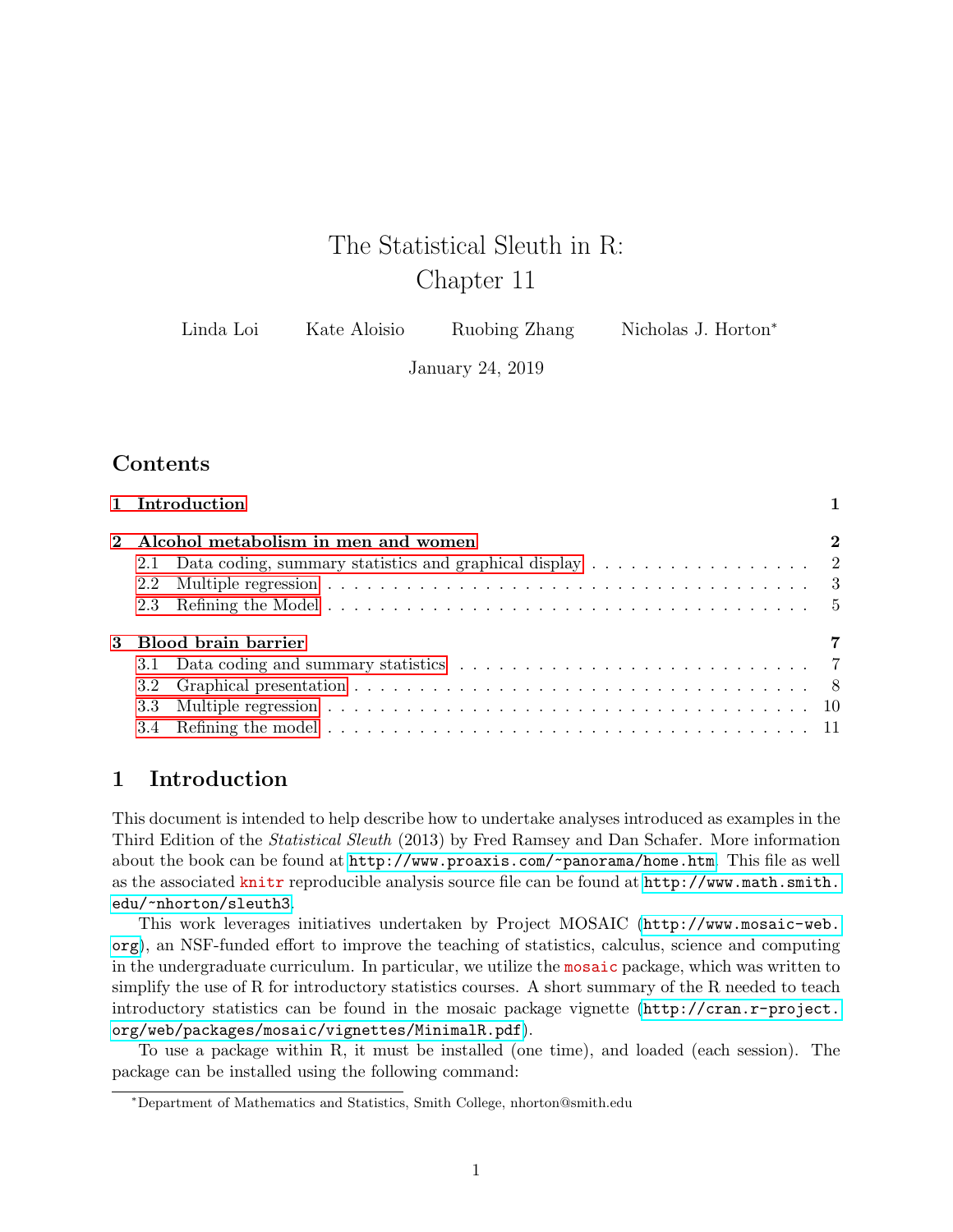# The Statistical Sleuth in R: Chapter 11

January 24, 2019

## **Contents**

| 1 Introduction |                                                             |          |
|----------------|-------------------------------------------------------------|----------|
|                | 2 Alcohol metabolism in men and women                       | $\bf{2}$ |
|                | 2.1 Data coding, summary statistics and graphical display 2 |          |
| 2.2            |                                                             |          |
|                |                                                             |          |
|                | 3 Blood brain barrier                                       | 7        |
|                |                                                             |          |
|                |                                                             |          |
|                |                                                             |          |
|                |                                                             |          |

## <span id="page-0-0"></span>1 Introduction

This document is intended to help describe how to undertake analyses introduced as examples in the Third Edition of the Statistical Sleuth (2013) by Fred Ramsey and Dan Schafer. More information about the book can be found at <http://www.proaxis.com/~panorama/home.htm>. This file as well as the associated knitr reproducible analysis source file can be found at [http://www.math.smith.](http://www.math.smith.edu/~nhorton/sleuth3) [edu/~nhorton/sleuth3](http://www.math.smith.edu/~nhorton/sleuth3).

This work leverages initiatives undertaken by Project MOSAIC ([http://www.mosaic-web.](http://www.mosaic-web.org) [org](http://www.mosaic-web.org)), an NSF-funded effort to improve the teaching of statistics, calculus, science and computing in the undergraduate curriculum. In particular, we utilize the mosaic package, which was written to simplify the use of R for introductory statistics courses. A short summary of the R needed to teach introductory statistics can be found in the mosaic package vignette ([http://cran.r-project.](http://cran.r-project.org/web/packages/mosaic/vignettes/MinimalR.pdf) [org/web/packages/mosaic/vignettes/MinimalR.pdf](http://cran.r-project.org/web/packages/mosaic/vignettes/MinimalR.pdf)).

To use a package within R, it must be installed (one time), and loaded (each session). The package can be installed using the following command:

<sup>∗</sup>Department of Mathematics and Statistics, Smith College, nhorton@smith.edu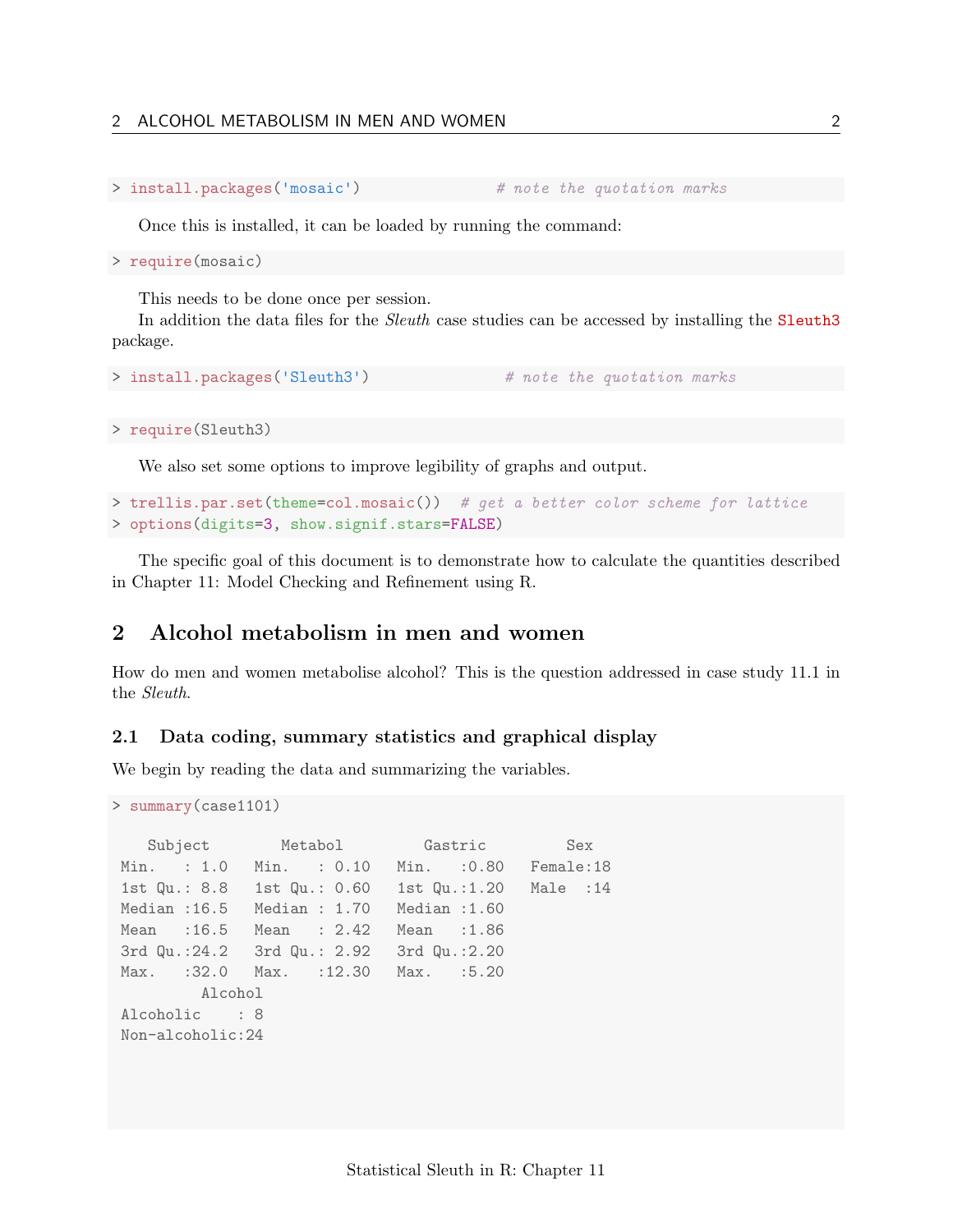#### 2 ALCOHOL METABOLISM IN MEN AND WOMEN 2

```
> install.packages('mosaic') # note the quotation marks
```
Once this is installed, it can be loaded by running the command:

> require(mosaic)

This needs to be done once per session.

In addition the data files for the *Sleuth* case studies can be accessed by installing the **Sleuth3** package.

```
> install.packages('Sleuth3') # note the quotation marks
```
> require(Sleuth3)

We also set some options to improve legibility of graphs and output.

```
> trellis.par.set(theme=col.mosaic()) # get a better color scheme for lattice
> options(digits=3, show.signif.stars=FALSE)
```
The specific goal of this document is to demonstrate how to calculate the quantities described in Chapter 11: Model Checking and Refinement using R.

## <span id="page-1-0"></span>2 Alcohol metabolism in men and women

How do men and women metabolise alcohol? This is the question addressed in case study 11.1 in the Sleuth.

#### <span id="page-1-1"></span>2.1 Data coding, summary statistics and graphical display

We begin by reading the data and summarizing the variables.

```
> summary(case1101)
```

```
Subject Metabol Gastric Sex
Min. : 1.0 Min. : 0.10 Min. :0.80 Female:18
1st Qu.: 8.8 1st Qu.: 0.60 1st Qu.:1.20 Male :14
Median :16.5 Median : 1.70 Median :1.60
Mean :16.5 Mean : 2.42 Mean :1.86
3rd Qu.:24.2 3rd Qu.: 2.92 3rd Qu.:2.20
Max. :32.0 Max. :12.30 Max. :5.20
       Alcohol
Alcoholic : 8
Non-alcoholic:24
```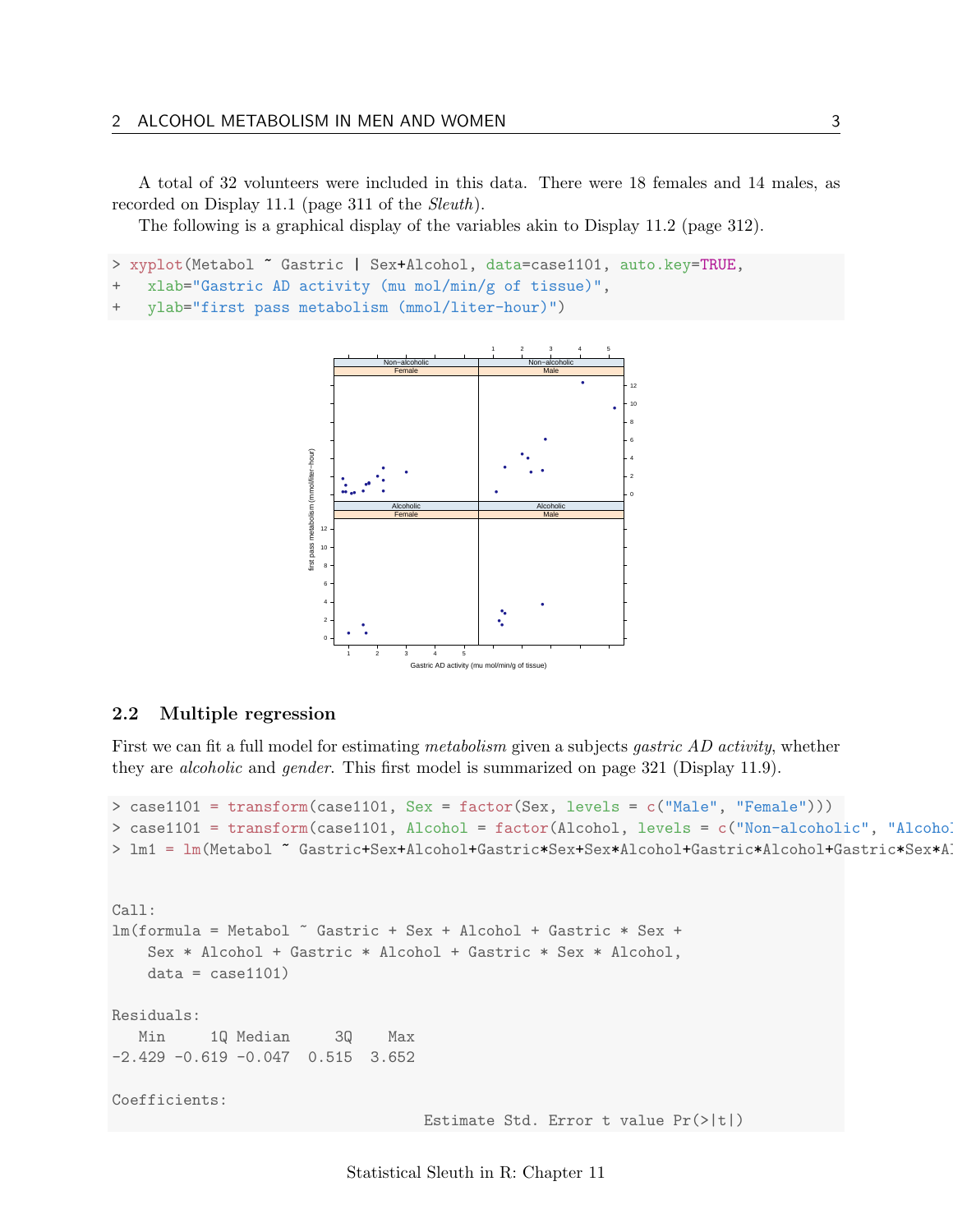A total of 32 volunteers were included in this data. There were 18 females and 14 males, as recorded on Display 11.1 (page 311 of the Sleuth).

The following is a graphical display of the variables akin to Display 11.2 (page 312).

> xyplot(Metabol ~ Gastric | Sex+Alcohol, data=case1101, auto.key=TRUE,

```
+ xlab="Gastric AD activity (mu mol/min/g of tissue)",
```

```
+ ylab="first pass metabolism (mmol/liter-hour)")
```


#### <span id="page-2-0"></span>2.2 Multiple regression

First we can fit a full model for estimating *metabolism* given a subjects *gastric AD activity*, whether they are alcoholic and gender. This first model is summarized on page 321 (Display 11.9).

```
> case1101 = transform(case1101, Sex = factor(Sex, levels = c("Male", "Female")))
> case1101 = transform(case1101, Alcohol = factor(Alcohol, levels = c("Non-alcoholic", "Alcohol
> lm1 = lm(Metabol ~ Gastric+Sex+Alcohol+Gastric*Sex+Sex*Alcohol+Gastric*Alcohol+Gastric*Sex*A
Call:
lm(formula = Metabol ~ Gastric + Sex + Alcohol + Gastric * Sex +
    Sex * Alcohol + Gastric * Alcohol + Gastric * Sex * Alcohol,
    data = case1101)Residuals:
  Min 1Q Median 3Q Max
-2.429 -0.619 -0.047 0.515 3.652
Coefficients:
                                  Estimate Std. Error t value Pr(>|t|)
```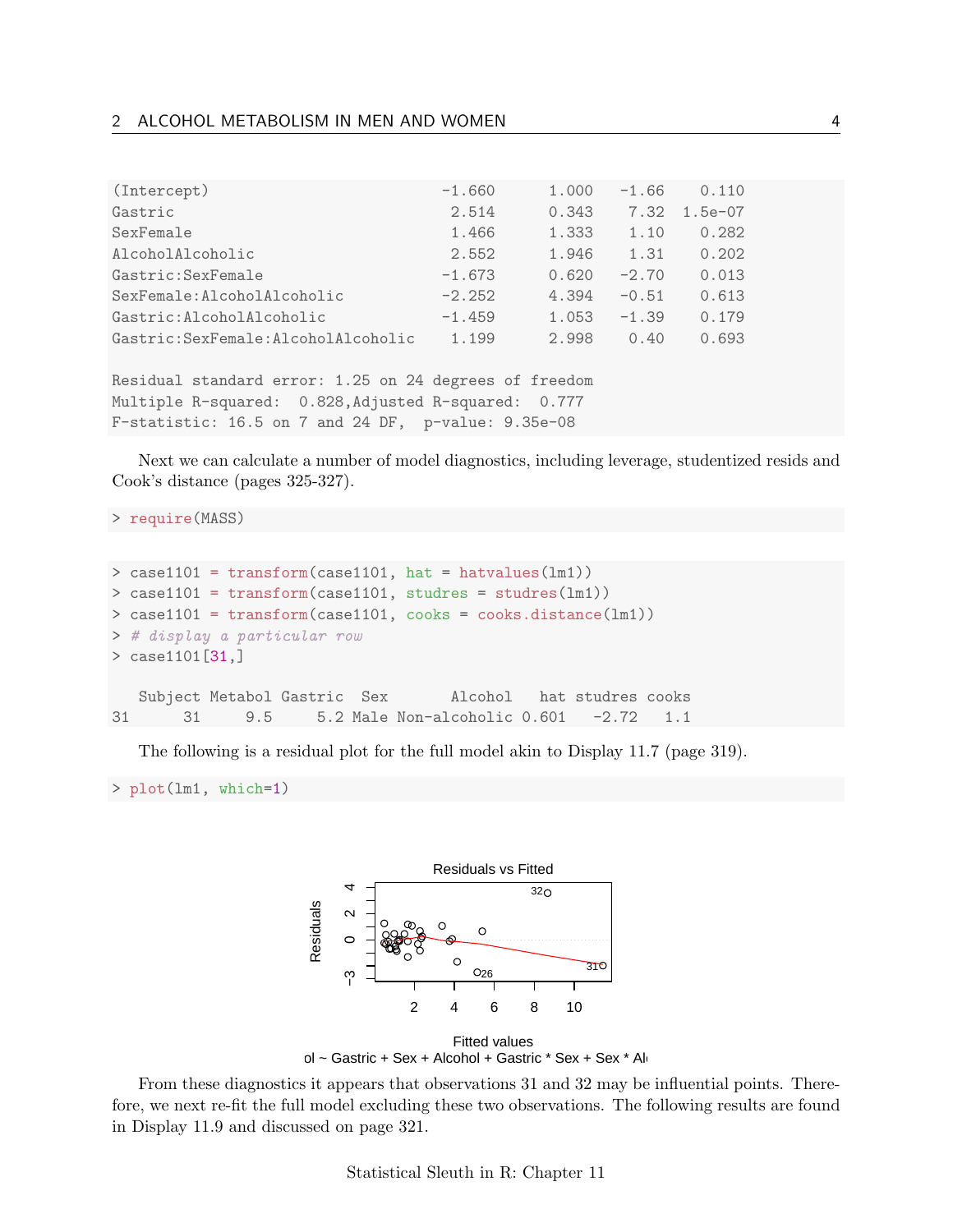| (Intercept)                          | $-1.660$ | 1.000 | $-1.66$ | 0.110     |
|--------------------------------------|----------|-------|---------|-----------|
| Gastric                              | 2.514    | 0.343 | 7.32    | $1.5e-07$ |
| SexFemale                            | 1.466    | 1.333 | 1.10    | 0.282     |
| AlcoholAlcoholic                     | 2.552    | 1.946 | 1.31    | 0.202     |
| Gastric: SexFemale                   | $-1.673$ | 0.620 | $-2.70$ | 0.013     |
| SexFemale: AlcoholAlcoholic          | $-2.252$ | 4.394 | $-0.51$ | 0.613     |
| Gastric: AlcoholAlcoholic            | $-1.459$ | 1.053 | $-1.39$ | 0.179     |
| Gastric: SexFemale: AlcoholAlcoholic | 1.199    | 2.998 | 0.40    | 0.693     |
|                                      |          |       |         |           |

Residual standard error: 1.25 on 24 degrees of freedom Multiple R-squared: 0.828,Adjusted R-squared: 0.777 F-statistic: 16.5 on 7 and 24 DF, p-value: 9.35e-08

Next we can calculate a number of model diagnostics, including leverage, studentized resids and Cook's distance (pages 325-327).

> require(MASS)

```
> case1101 = transform(case1101, hat = hatvalues(lm1))
> case1101 = transform(case1101, studres = studres(lm1))
> case1101 = transform(case1101, cooks = cooks.distance(lm1))
> # display a particular row
> case1101[31,]
  Subject Metabol Gastric Sex Alcohol hat studres cooks
31 31 9.5 5.2 Male Non-alcoholic 0.601 -2.72 1.1
```
The following is a residual plot for the full model akin to Display 11.7 (page 319).

> plot(lm1, which=1)



From these diagnostics it appears that observations 31 and 32 may be influential points. Therefore, we next re-fit the full model excluding these two observations. The following results are found in Display 11.9 and discussed on page 321.

Statistical Sleuth in R: Chapter 11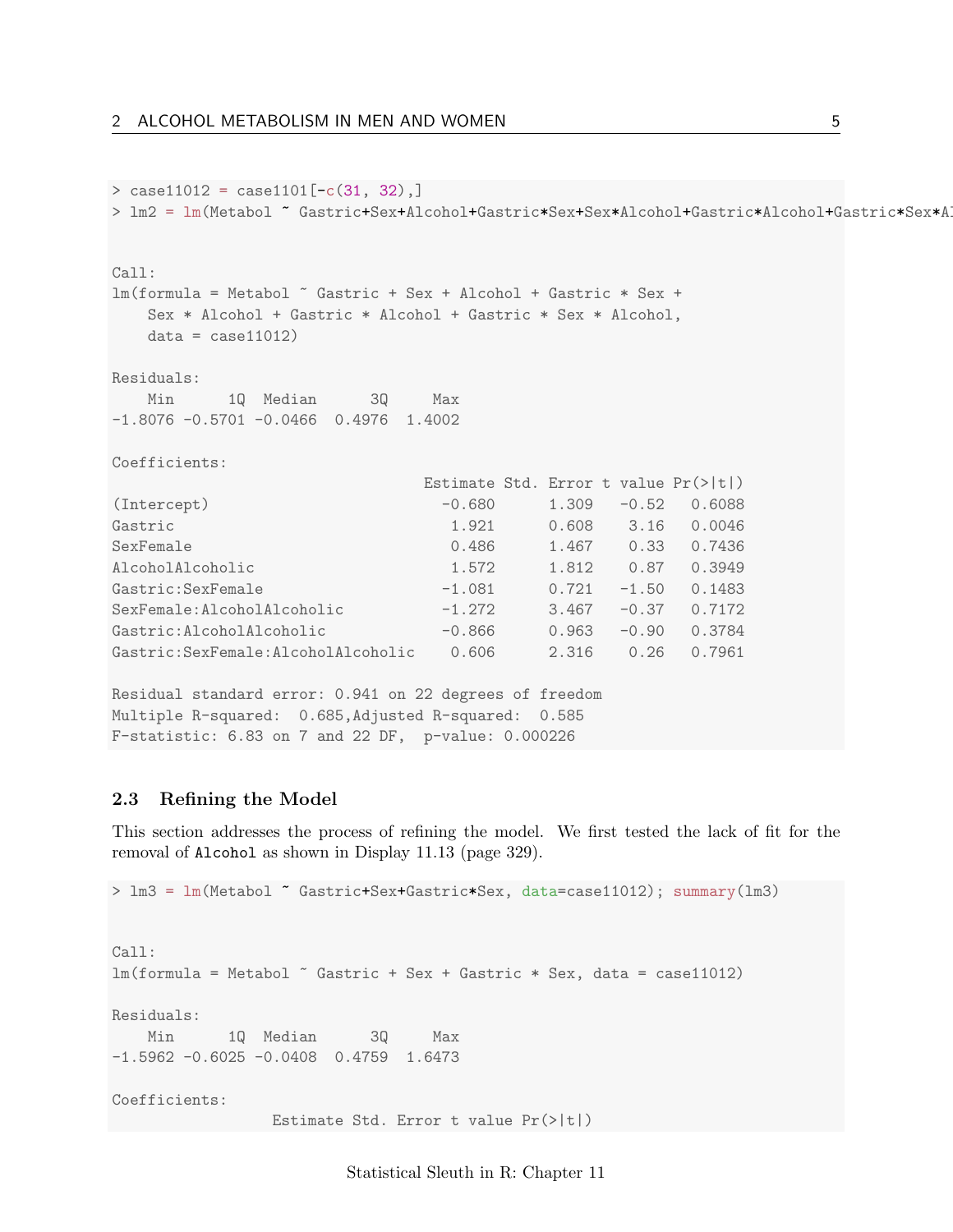```
> case11012 = case1101[-c(31, 32),]
> lm2 = lm(Metabol ~ Gastric+Sex+Alcohol+Gastric*Sex+Sex*Alcohol+Gastric*Alcohol+Gastric*Sex*A
Call:
lm(formula = Metabol ~ Gastric + Sex + Alcohol + Gastric * Sex +
   Sex * Alcohol + Gastric * Alcohol + Gastric * Sex * Alcohol,
   data = case11012)Residuals:
   Min 1Q Median 3Q Max
-1.8076 -0.5701 -0.0466 0.4976 1.4002
Coefficients:
                           Estimate Std. Error t value Pr(>|t|)
(Intercept) -0.680 1.309 -0.52 0.6088
Gastric 1.921 0.608 3.16 0.0046
SexFemale 0.486 1.467 0.33 0.7436
AlcoholAlcoholic 1.572 1.812 0.87 0.3949
Gastric:SexFemale -1.081 0.721 -1.50 0.1483
SexFemale:AlcoholAlcoholic -1.272 3.467 -0.37 0.7172
Gastric:AlcoholAlcoholic -0.866 0.963 -0.90 0.3784
Gastric:SexFemale:AlcoholAlcoholic 0.606 2.316 0.26 0.7961
Residual standard error: 0.941 on 22 degrees of freedom
Multiple R-squared: 0.685,Adjusted R-squared: 0.585
```

```
2.3 Refining the Model
```
F-statistic: 6.83 on 7 and 22 DF, p-value: 0.000226

This section addresses the process of refining the model. We first tested the lack of fit for the removal of Alcohol as shown in Display 11.13 (page 329).

```
> lm3 = lm(Metabol ~ Gastric+Sex+Gastric*Sex, data=case11012); summary(lm3)
Call:
lm(formula = Metabol \tilde{ } Gastric + Sex + Gastric * Sex, data = case11012)
Residuals:
   Min 1Q Median 3Q Max
-1.5962 -0.6025 -0.0408 0.4759 1.6473
Coefficients:
                 Estimate Std. Error t value Pr(>|t|)
```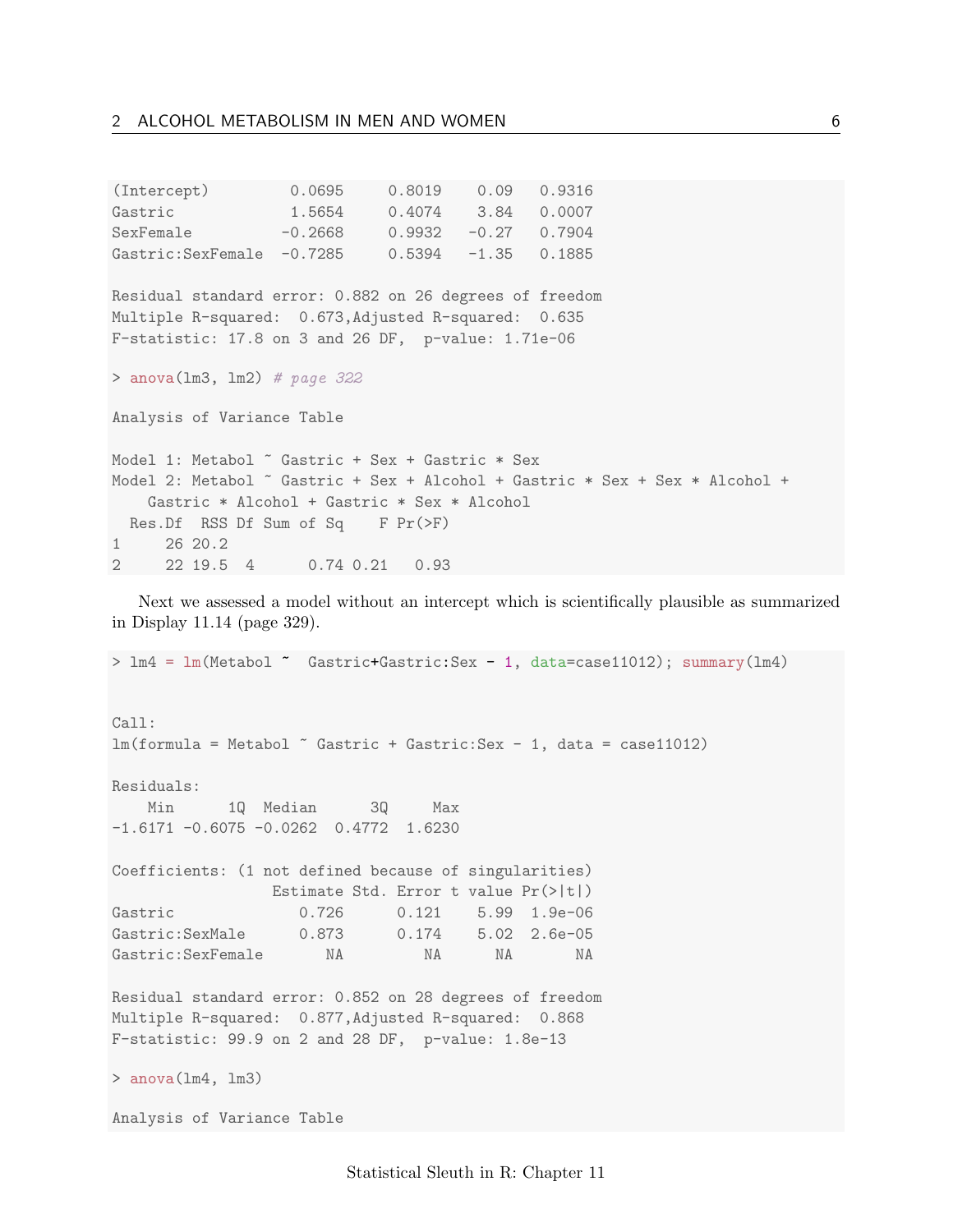| (Intercept) 0.0695 0.8019 0.09 0.9316                                        |  |  |  |  |
|------------------------------------------------------------------------------|--|--|--|--|
| Gastric 1.5654 0.4074 3.84 0.0007                                            |  |  |  |  |
| SexFemale $-0.2668$ 0.9932 $-0.27$ 0.7904                                    |  |  |  |  |
| Gastric: SexFemale -0.7285 0.5394 -1.35 0.1885                               |  |  |  |  |
| Residual standard error: 0.882 on 26 degrees of freedom                      |  |  |  |  |
| Multiple R-squared: 0.673, Adjusted R-squared: 0.635                         |  |  |  |  |
| F-statistic: $17.8$ on 3 and 26 DF, $p$ -value: $1.71e-06$                   |  |  |  |  |
| > anova( $lm3$ , $lm2$ ) # page 322                                          |  |  |  |  |
| Analysis of Variance Table                                                   |  |  |  |  |
| Model 1: Metabol ~ Gastric + Sex + Gastric * Sex                             |  |  |  |  |
| Model 2: Metabol ~ Gastric + Sex + Alcohol + Gastric * Sex + Sex * Alcohol + |  |  |  |  |
| Gastric * Alcohol + Gastric * Sex * Alcohol                                  |  |  |  |  |
| Res.Df RSS Df Sum of Sq F Pr(>F)                                             |  |  |  |  |
| 1 26 20.2                                                                    |  |  |  |  |
| 2 22 19.5 4 0.74 0.21 0.93                                                   |  |  |  |  |

Next we assessed a model without an intercept which is scientifically plausible as summarized in Display 11.14 (page 329).

> lm4 = lm(Metabol ~ Gastric+Gastric:Sex - 1, data=case11012); summary(lm4) Call:  $lm(formula = Metabol \text{ 'Gastric + Gastric:Sex - 1, data = case11012)}$ Residuals: Min 1Q Median 3Q Max -1.6171 -0.6075 -0.0262 0.4772 1.6230 Coefficients: (1 not defined because of singularities) Estimate Std. Error t value Pr(>|t|) Gastric 0.726 0.121 5.99 1.9e-06 Gastric:SexMale 0.873 0.174 5.02 2.6e-05 Gastric:SexFemale NA NA NA NA Residual standard error: 0.852 on 28 degrees of freedom Multiple R-squared: 0.877,Adjusted R-squared: 0.868 F-statistic: 99.9 on 2 and 28 DF, p-value: 1.8e-13 > anova(lm4, lm3) Analysis of Variance Table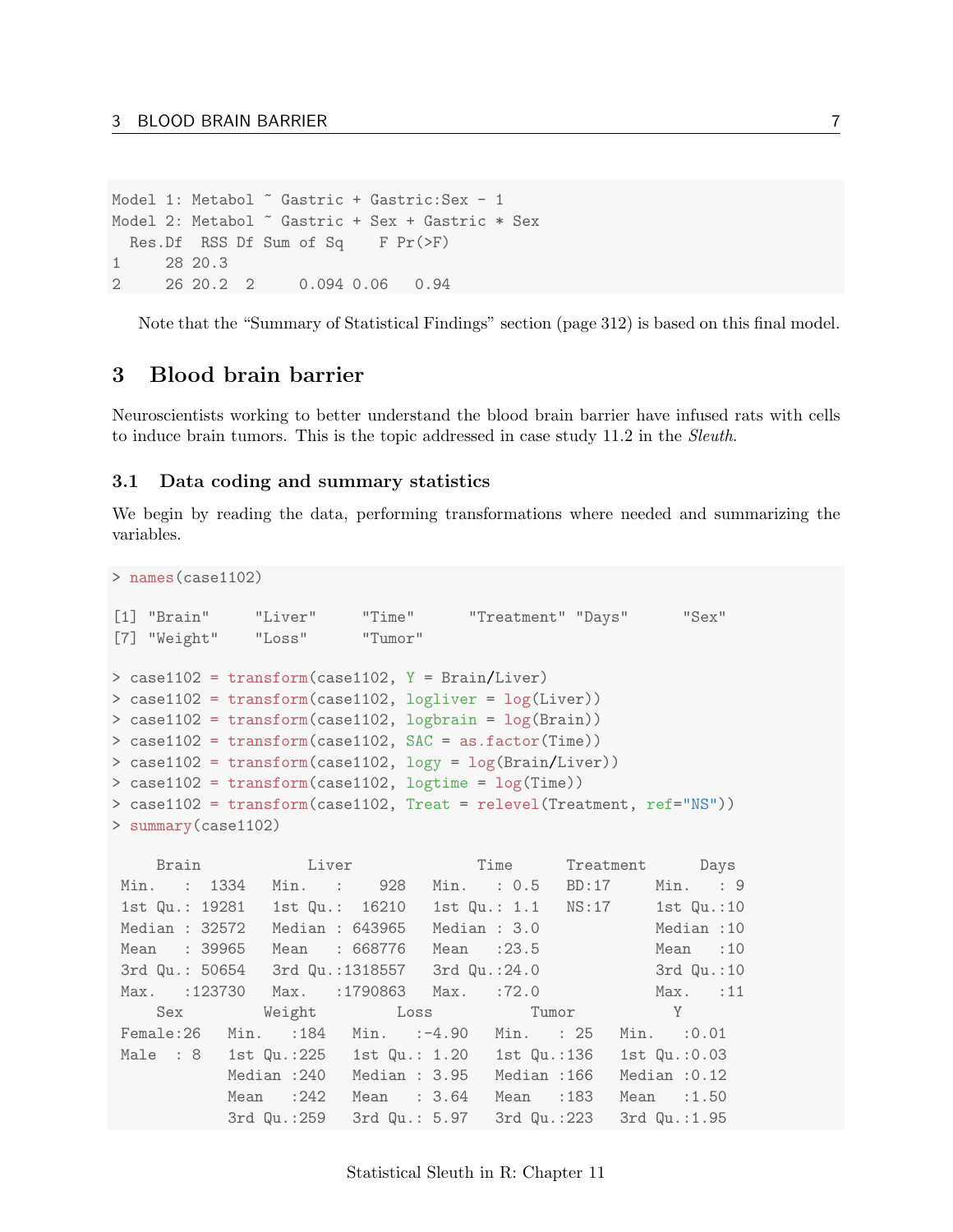```
Model 1: Metabol ~ Gastric + Gastric: Sex - 1
Model 2: Metabol ~ Gastric + Sex + Gastric * Sex
 Res.Df RSS Df Sum of Sq F Pr(\ge F)1 28 20.3
2 26 20.2 2 0.094 0.06 0.94
```
Note that the "Summary of Statistical Findings" section (page 312) is based on this final model.

### <span id="page-6-0"></span>3 Blood brain barrier

Neuroscientists working to better understand the blood brain barrier have infused rats with cells to induce brain tumors. This is the topic addressed in case study 11.2 in the Sleuth.

#### <span id="page-6-1"></span>3.1 Data coding and summary statistics

We begin by reading the data, performing transformations where needed and summarizing the variables.

```
> names(case1102)
```

```
[1] "Brain" "Liver" "Time" "Treatment" "Days" "Sex"
[7] "Weight" "Loss" "Tumor"
> case1102 = transform(case1102, Y = Brain/Liver)
> case1102 = transform(case1102, logliver = log(Liver))
> case1102 = transform(case1102, logbrain = log(Brain))
> case1102 = transform(case1102, SAC = as.factor(Time))
> case1102 = transform(case1102, logy = log(Brain/Liver))
> case1102 = transform(case1102, logtime = log(Time))
> case1102 = transform(case1102, Treat = relevel(Treatment, ref="NS"))
> summary(case1102)
```

|                | Brain Liver Time Treatment Days                           |                             |              |             |                            |                 |
|----------------|-----------------------------------------------------------|-----------------------------|--------------|-------------|----------------------------|-----------------|
| Min. : 1334    |                                                           | Min. : 928 Min. : 0.5 BD:17 |              |             |                            | Min. : 9        |
|                | 1st Qu.: 19281    1st Qu.: 16210    1st Qu.: 1.1    NS:17 |                             |              |             |                            | 1st Qu.:10      |
| Median : 32572 |                                                           | Median : 643965             | Median : 3.0 |             | and the state of the state | Median:10       |
| Mean : 39965   |                                                           | Mean : 668776 Mean : 23.5   |              |             |                            | Mean : 10       |
|                | 3rd Qu.: 50654 3rd Qu.:1318557 3rd Qu.:24.0               |                             |              |             |                            | 3rd Qu.:10      |
|                | Max. :123730 Max. :1790863 Max. :72.0                     |                             |              |             |                            | Max. :11        |
|                | Sex Weight Loss Tumor Y                                   |                             |              |             |                            |                 |
|                | Female:26 Min. :184 Min. :-4.90 Min. :25                  |                             |              |             |                            | $Min.$ : $0.01$ |
|                | Male : $8$ 1st Qu.:225 1st Qu.: 1.20 1st Qu.:136          |                             |              |             |                            | 1st Qu.: 0.03   |
|                | Median :240                                               | Median: 3.95                |              | Median :166 |                            | Median $:0.12$  |
|                | Mean :242                                                 | Mean $: 3.64$               |              | Mean :183   |                            | Mean $:1.50$    |
|                | 3rd Qu.:259 3rd Qu.: 5.97 3rd Qu.:223 3rd Qu.:1.95        |                             |              |             |                            |                 |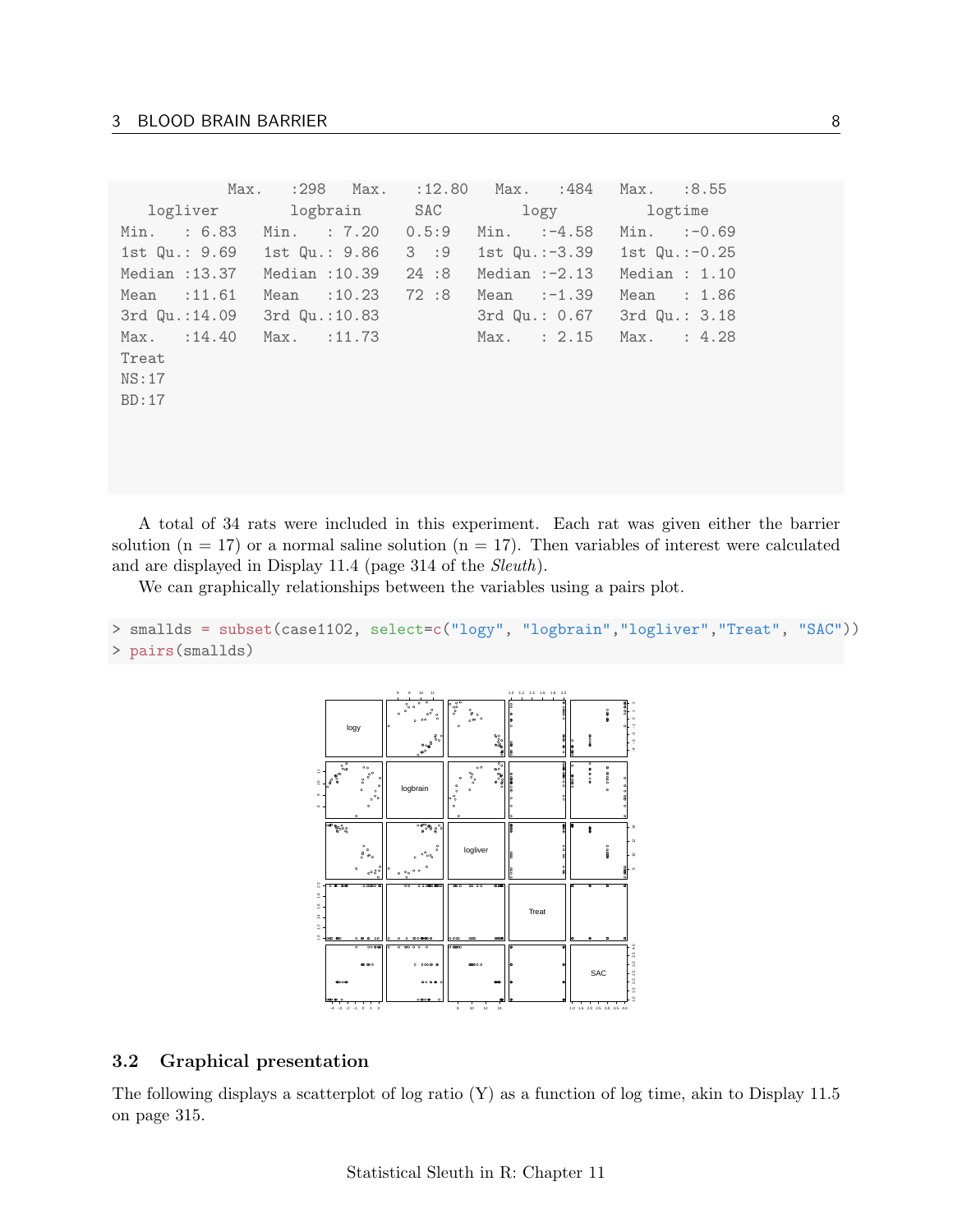|       | Max.                          |                                    | :298 Max. :12.80 Max. :484 |      |               |                 | Max. :8.55 |                  |
|-------|-------------------------------|------------------------------------|----------------------------|------|---------------|-----------------|------------|------------------|
|       |                               | logliver logbrain SAC logy logtime |                            |      |               |                 |            |                  |
|       | Min. : 6.83 Min. : 7.20 0.5:9 |                                    |                            |      | Min. $:-4.58$ |                 |            | $Min. : -0.69$   |
|       | 1st Qu.: 9.69 1st Qu.: 9.86   |                                    |                            | 3:9  |               | 1st Qu.:-3.39   |            | 1st $Qu.: -0.25$ |
|       | Median : 13.37                | Median :10.39                      |                            | 24:8 |               | Median $:-2.13$ |            | Median : $1.10$  |
|       | Mean $:11.61$                 | Mean $:10.23$                      |                            | 72:8 | Mean $:-1.39$ |                 |            | Mean : 1.86      |
|       | 3rd Qu.:14.09                 | 3rd Qu.:10.83                      |                            |      |               | 3rd Qu.: 0.67   |            | 3rd Qu.: 3.18    |
|       | $Max.$ : 14.40                | Max. : 11.73                       |                            |      |               | $Max.$ : $2.15$ | Max.       | : 4.28           |
| Treat |                               |                                    |                            |      |               |                 |            |                  |
| NS:17 |                               |                                    |                            |      |               |                 |            |                  |
| BD:17 |                               |                                    |                            |      |               |                 |            |                  |
|       |                               |                                    |                            |      |               |                 |            |                  |
|       |                               |                                    |                            |      |               |                 |            |                  |

A total of 34 rats were included in this experiment. Each rat was given either the barrier solution ( $n = 17$ ) or a normal saline solution ( $n = 17$ ). Then variables of interest were calculated and are displayed in Display 11.4 (page 314 of the Sleuth).

We can graphically relationships between the variables using a pairs plot.

```
> smallds = subset(case1102, select=c("logy", "logbrain","logliver","Treat", "SAC"))
> pairs(smallds)
```


#### <span id="page-7-0"></span>3.2 Graphical presentation

The following displays a scatterplot of log ratio (Y) as a function of log time, akin to Display 11.5 on page 315.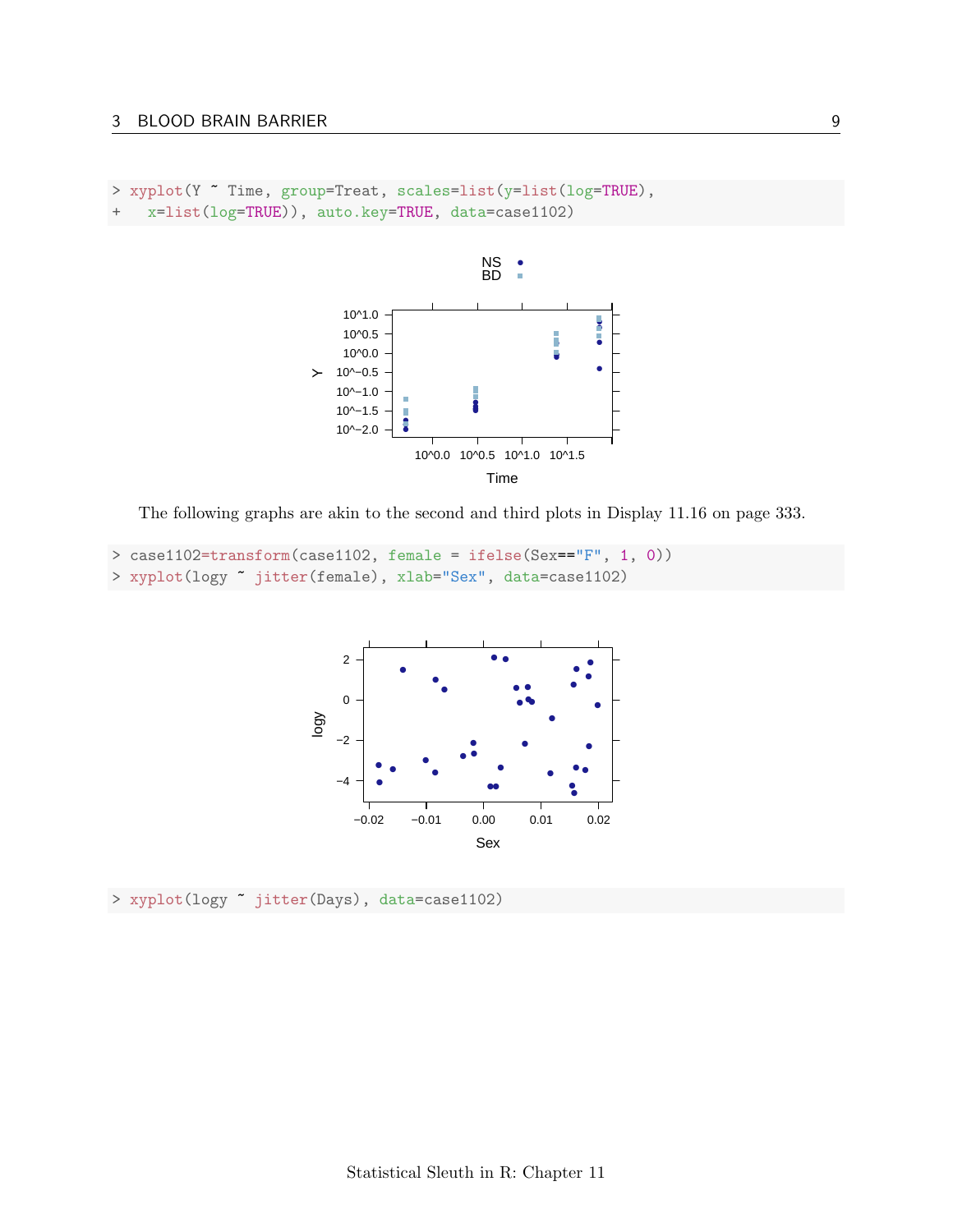```
> xyplot(Y ~ Time, group=Treat, scales=list(y=list(log=TRUE),
+ x=list(log=TRUE)), auto.key=TRUE, data=case1102)
```


The following graphs are akin to the second and third plots in Display 11.16 on page 333.

```
> case1102=transform(case1102, female = ifelse(Sex=="F", 1, 0))
> xyplot(logy ~ jitter(female), xlab="Sex", data=case1102)
```


> xyplot(logy ~ jitter(Days), data=case1102)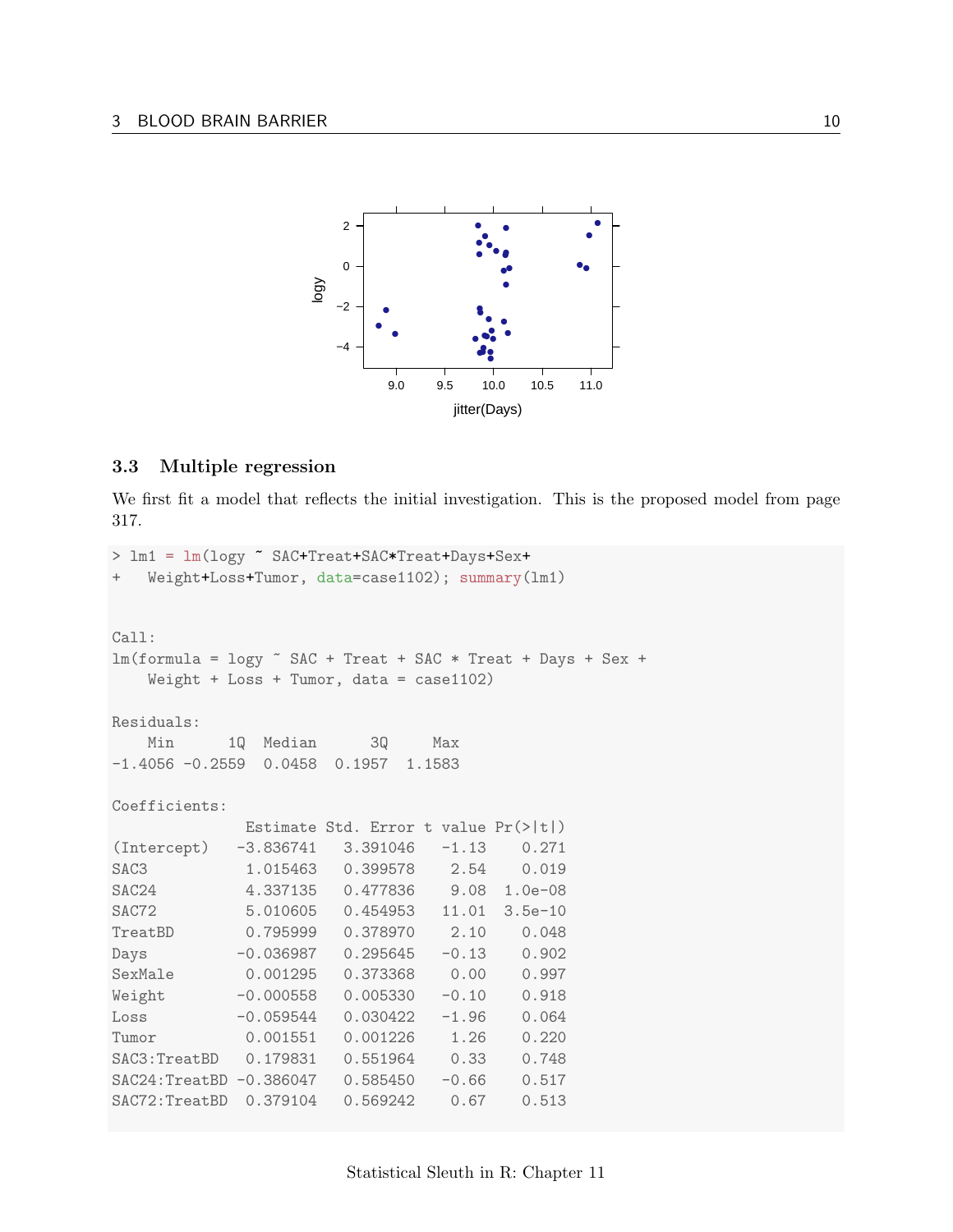

#### <span id="page-9-0"></span>3.3 Multiple regression

We first fit a model that reflects the initial investigation. This is the proposed model from page 317.

```
> lm1 = lm(logy ~ SAC+Treat+SAC*Treat+Days+Sex+
+ Weight+Loss+Tumor, data=case1102); summary(lm1)
Call:
lm(formula = logy \tilde{B} SAC + Treat + SAC * Treat + Days + Sex +
   Weight + Loss + Tumor, data = case1102)
Residuals:
   Min 1Q Median 3Q Max
-1.4056 -0.2559 0.0458 0.1957 1.1583
Coefficients:
            Estimate Std. Error t value Pr(>|t|)
(Intercept) -3.836741 3.391046 -1.13 0.271
SAC3 1.015463 0.399578 2.54 0.019
SAC24 4.337135 0.477836 9.08 1.0e-08
SAC72 5.010605 0.454953 11.01 3.5e-10
TreatBD 0.795999 0.378970 2.10 0.048
Days -0.036987 0.295645 -0.13 0.902
SexMale 0.001295 0.373368 0.00 0.997
Weight -0.000558 0.005330 -0.10 0.918
Loss -0.059544 0.030422 -1.96 0.064
Tumor 0.001551 0.001226 1.26 0.220
SAC3:TreatBD 0.179831 0.551964 0.33 0.748
SAC24:TreatBD -0.386047  0.585450  -0.66  0.517
SAC72:TreatBD 0.379104 0.569242 0.67 0.513
```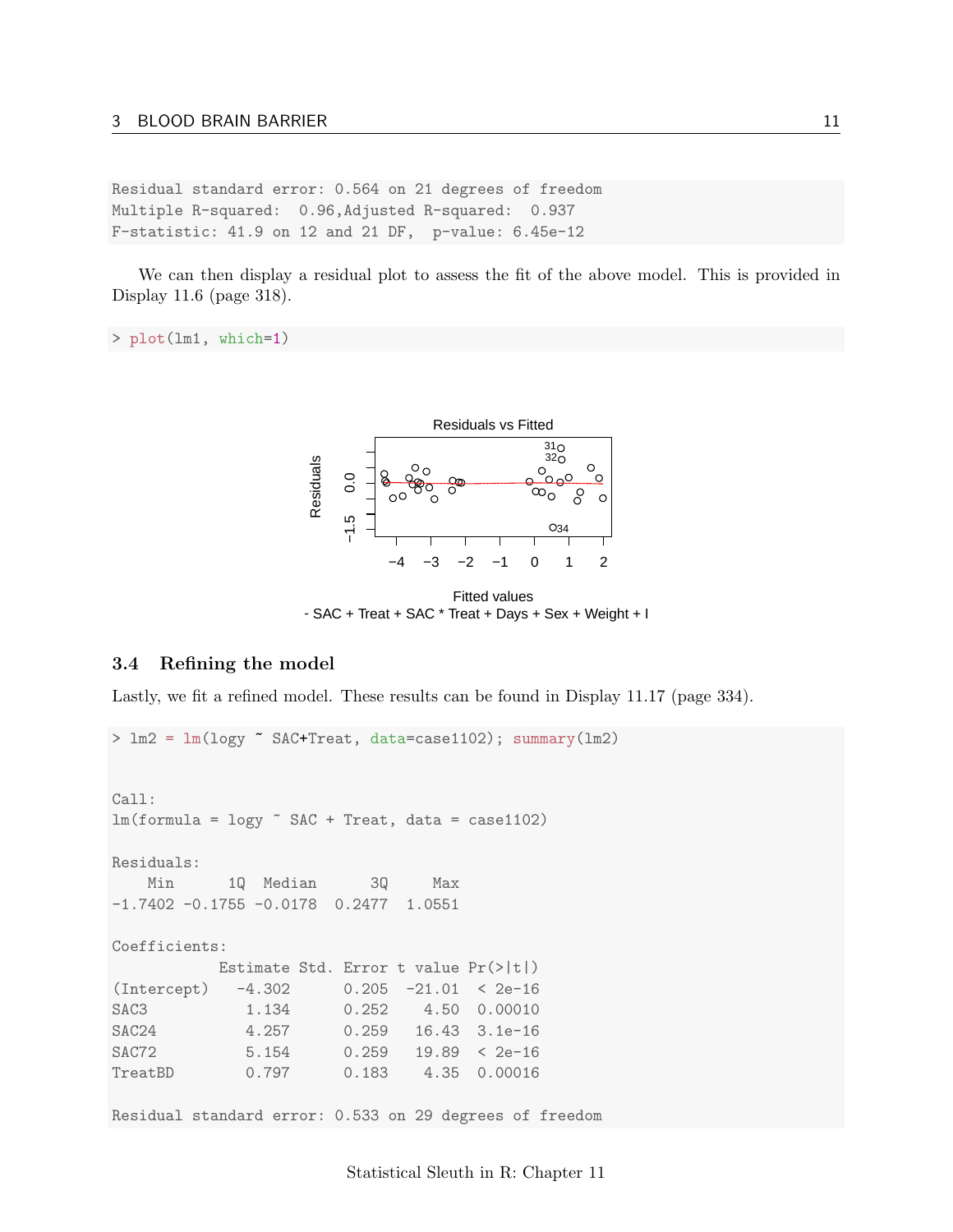Residual standard error: 0.564 on 21 degrees of freedom Multiple R-squared: 0.96,Adjusted R-squared: 0.937 F-statistic: 41.9 on 12 and 21 DF, p-value: 6.45e-12

We can then display a residual plot to assess the fit of the above model. This is provided in Display 11.6 (page 318).

```
> plot(lm1, which=1)
```


Fitted values  $\sim$  SAC + Treat + SAC  $\star$  Treat + Days + Sex + Weight + I

#### <span id="page-10-0"></span>3.4 Refining the model

Lastly, we fit a refined model. These results can be found in Display 11.17 (page 334).

> lm2 = lm(logy ~ SAC+Treat, data=case1102); summary(lm2) Call:  $lm(formula = logy * SAC + Treat, data = case1102)$ Residuals: Min 1Q Median 3Q Max -1.7402 -0.1755 -0.0178 0.2477 1.0551 Coefficients: Estimate Std. Error t value Pr(>|t|) (Intercept) -4.302 0.205 -21.01 < 2e-16 SAC3 1.134 0.252 4.50 0.00010 SAC24 4.257 0.259 16.43 3.1e-16 SAC72 5.154 0.259 19.89 < 2e-16 TreatBD 0.797 0.183 4.35 0.00016

Residual standard error: 0.533 on 29 degrees of freedom